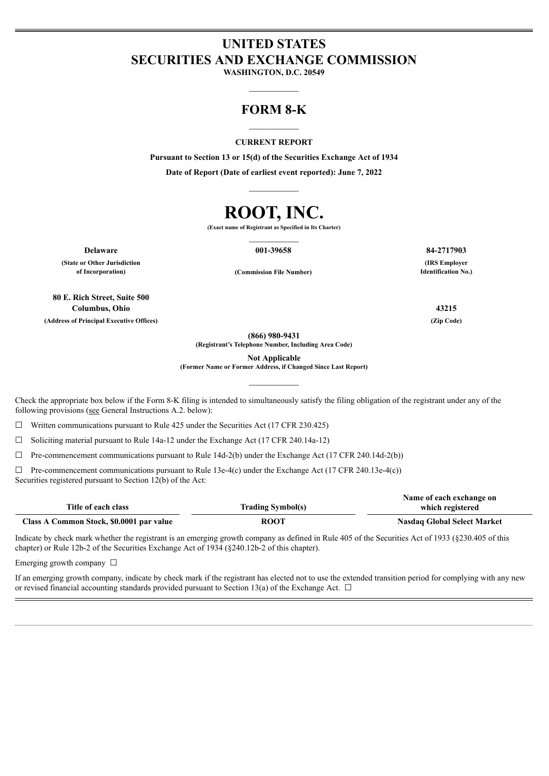# **UNITED STATES SECURITIES AND EXCHANGE COMMISSION**

**WASHINGTON, D.C. 20549**  $\mathcal{L}=\mathcal{L}$ 

## **FORM 8-K**  $\mathcal{L}=\mathcal{L}$

#### **CURRENT REPORT**

**Pursuant to Section 13 or 15(d) of the Securities Exchange Act of 1934 Date of Report (Date of earliest event reported): June 7, 2022**

 $\mathcal{L}=\mathcal{L}$ 

# **ROOT, INC.**

**(Exact name of Registrant as Specified in Its Charter)**  $\mathcal{L}=\mathcal{L}$ 

**Delaware 001-39658 84-2717903**

**(State or Other Jurisdiction**

**of Incorporation) (Commission File Number)**

**80 E. Rich Street, Suite 500 Columbus, Ohio 43215 (Address of Principal Executive Offices) (Zip Code)**

**(866) 980-9431**

**(Registrant's Telephone Number, Including Area Code)**

**Not Applicable**

**(Former Name or Former Address, if Changed Since Last Report)**  $\mathcal{L}=\mathcal{L}$ 

Check the appropriate box below if the Form 8-K filing is intended to simultaneously satisfy the filing obligation of the registrant under any of the following provisions (see General Instructions A.2. below):

 $\Box$  Written communications pursuant to Rule 425 under the Securities Act (17 CFR 230.425)

 $\Box$  Soliciting material pursuant to Rule 14a-12 under the Exchange Act (17 CFR 240.14a-12)

 $\Box$  Pre-commencement communications pursuant to Rule 14d-2(b) under the Exchange Act (17 CFR 240.14d-2(b))

 $\Box$  Pre-commencement communications pursuant to Rule 13e-4(c) under the Exchange Act (17 CFR 240.13e-4(c)) Securities registered pursuant to Section 12(b) of the Act:

|                                          |                          | Name of each exchange on    |
|------------------------------------------|--------------------------|-----------------------------|
| Title of each class                      | <b>Trading Symbol(s)</b> | which registered            |
| Class A Common Stock, \$0.0001 par value | <b>ROOT</b>              | Nasdaq Global Select Market |

Indicate by check mark whether the registrant is an emerging growth company as defined in Rule 405 of the Securities Act of 1933 (§230.405 of this chapter) or Rule 12b-2 of the Securities Exchange Act of 1934 (§240.12b-2 of this chapter).

Emerging growth company  $\Box$ 

If an emerging growth company, indicate by check mark if the registrant has elected not to use the extended transition period for complying with any new or revised financial accounting standards provided pursuant to Section 13(a) of the Exchange Act.  $\Box$ 

**(IRS Employer Identification No.)**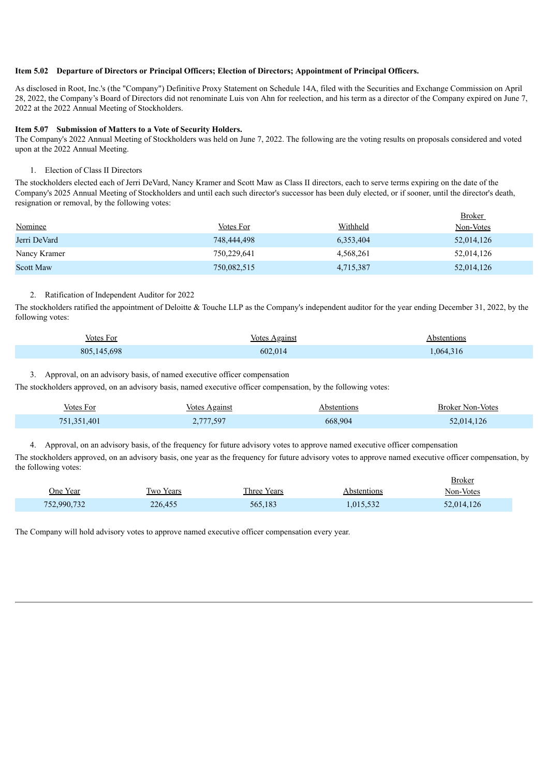#### **Item 5.02 Departure of Directors or Principal Officers; Election of Directors; Appointment of Principal Officers.**

As disclosed in Root, Inc.'s (the "Company") Definitive Proxy Statement on Schedule 14A, filed with the Securities and Exchange Commission on April 28, 2022, the Company's Board of Directors did not renominate Luis von Ahn for reelection, and his term as a director of the Company expired on June 7, 2022 at the 2022 Annual Meeting of Stockholders.

#### **Item 5.07 Submission of Matters to a Vote of Security Holders.**

The Company's 2022 Annual Meeting of Stockholders was held on June 7, 2022. The following are the voting results on proposals considered and voted upon at the 2022 Annual Meeting.

#### 1. Election of Class II Directors

The stockholders elected each of Jerri DeVard, Nancy Kramer and Scott Maw as Class II directors, each to serve terms expiring on the date of the Company's 2025 Annual Meeting of Stockholders and until each such director's successor has been duly elected, or if sooner, until the director's death, resignation or removal, by the following votes:

|                  |             |           | <u>Broker</u> |
|------------------|-------------|-----------|---------------|
| Nominee          | Votes For   | Withheld  | Non-Votes     |
| Jerri DeVard     | 748,444,498 | 6,353,404 | 52,014,126    |
| Nancy Kramer     | 750,229,641 | 4,568,261 | 52,014,126    |
| <b>Scott Maw</b> | 750,082,515 | 4,715,387 | 52,014,126    |

#### 2. Ratification of Independent Auditor for 2022

The stockholders ratified the appointment of Deloitte & Touche LLP as the Company's independent auditor for the year ending December 31, 2022, by the following votes:

| Votes For   | Votes Against | Abstentions |
|-------------|---------------|-------------|
| 805,145,698 | 602,014       | .064,316    |

Broker

#### 3. Approval, on an advisory basis, of named executive officer compensation

The stockholders approved, on an advisory basis, named executive officer compensation, by the following votes:

| <b>Votes For</b> | Votes Against | Abstentions | <b>Broker Non-Votes</b> |
|------------------|---------------|-------------|-------------------------|
| 751,351,401      | 2,777,597     | 668,904     | 52.014.126              |

4. Approval, on an advisory basis, of the frequency for future advisory votes to approve named executive officer compensation

The stockholders approved, on an advisory basis, one year as the frequency for future advisory votes to approve named executive officer compensation, by the following votes:

|             |           |             |             | <b>Broker</b> |
|-------------|-----------|-------------|-------------|---------------|
| One Year    | Two Years | Three Years | Abstentions | Non-Votes     |
| 752,990,732 | 226,455   | 565,183     | 1,015,532   | 52,014,126    |

The Company will hold advisory votes to approve named executive officer compensation every year.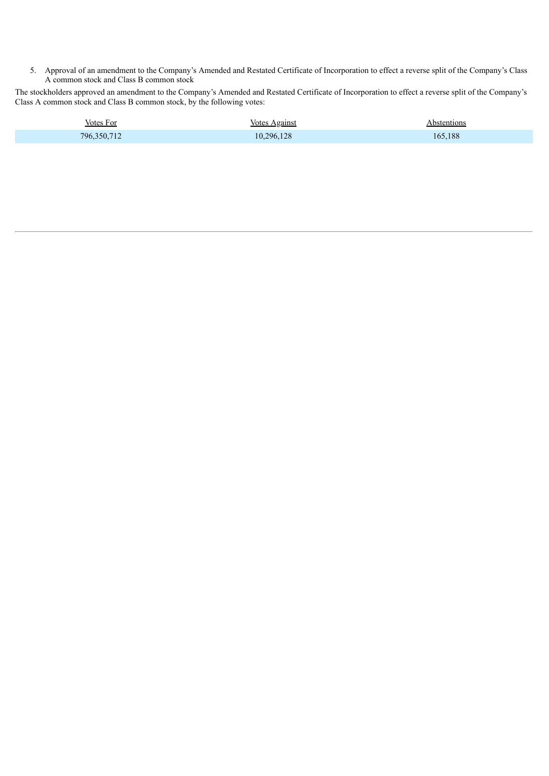5. Approval of an amendment to the Company's Amended and Restated Certificate of Incorporation to effect a reverse split of the Company's Class A common stock and Class B common stock

The stockholders approved an amendment to the Company's Amended and Restated Certificate of Incorporation to effect a reverse split of the Company's Class A common stock and Class B common stock, by the following votes:

| Votes For   | <b>Votes Against</b> | Abstentions |
|-------------|----------------------|-------------|
| 796,350,712 | 10,296,128           | 165.188     |